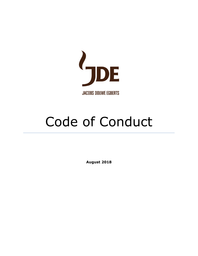

# Code of Conduct

August 2018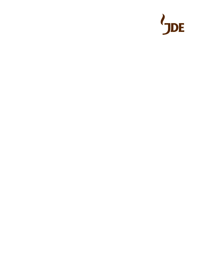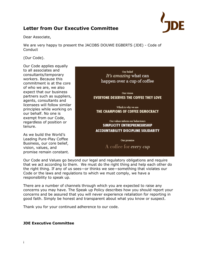

# Letter from Our Executive Committee

Dear Associate,

We are very happy to present the JACOBS DOUWE EGBERTS (JDE) - Code of **Conduct** 

(Our Code).

Our Code applies equally to all associates and consultants/temporary workers. Because this commitment is at the core of who we are, we also expect that our business partners such as suppliers, agents, consultants and licensees will follow similar principles while working on our behalf. No one is exempt from our Code, regardless of position or tenure.

As we build the World's Leading Pure-Play Coffee Business, our core belief, vision, values, and promise remain constant.



Our Code and Values go beyond our legal and regulatory obligations and require that we act according to them. We must do the right thing and help each other do the right thing. If any of us sees—or thinks we see—something that violates our Code or the laws and regulations to which we must comply, we have a responsibility to speak up.

There are a number of channels through which you are expected to raise any concerns you may have. The Speak up Policy describes how you should report your concerns and be assured that you will never experience retaliation for reporting in good faith. Simply be honest and transparent about what you know or suspect.

Thank you for your continued adherence to our code.

#### JDE Executive Committee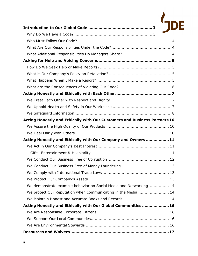

| Acting Honestly and Ethically with Our Customers and Business Partners 10 |
|---------------------------------------------------------------------------|
|                                                                           |
|                                                                           |
| Acting Honestly and Ethically with Our Company and Owners  11             |
|                                                                           |
|                                                                           |
|                                                                           |
|                                                                           |
|                                                                           |
|                                                                           |
| We demonstrate example behavior on Social Media and Networking 14         |
| We protect Our Reputation when communicating in the Media  14             |
|                                                                           |
| Acting Honestly and Ethically with Our Global Communities  16             |
|                                                                           |
|                                                                           |
|                                                                           |
|                                                                           |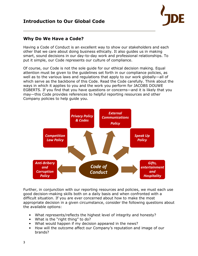

## Why Do We Have a Code?

Having a Code of Conduct is an excellent way to show our stakeholders and each other that we care about doing business ethically. It also guides us in making smart, sound decisions in our day-to-day work and professional relationships. To put it simple, our Code represents our culture of compliance.

Of course, our Code is not the sole guide for our ethical decision making. Equal attention must be given to the guidelines set forth in our compliance policies, as well as to the various laws and regulations that apply to our work globally—all of which serve as the backbone of this Code. Read the Code carefully. Think about the ways in which it applies to you and the work you perform for JACOBS DOUWE EGBERTS. If you find that you have questions or concerns—and it is likely that you may—this Code provides references to helpful reporting resources and other Company policies to help guide you.



Further, in conjunction with our reporting resources and policies, we must each use good decision-making skills both on a daily basis and when confronted with a difficult situation. If you are ever concerned about how to make the most appropriate decision in a given circumstance, consider the following questions about the available options:

- What represents/reflects the highest level of integrity and honesty?
- What is the "right thing" to do?
- What would happen if my decision appeared in the news?
- How will the outcome affect our Company's reputation and image of our brands?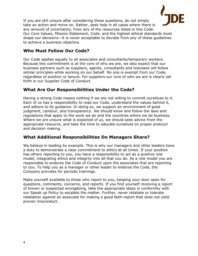

If you are still unsure after considering these questions, do not simply take an action and move on. Rather, seek help in all cases where there is any amount of uncertainty, from any of the resources listed in this Code. Our Core Values, Mission Statement, Code, and the highest ethical standards must shape our decisions—it is never acceptable to deviate from any of these guidelines to achieve a business objective.

#### Who Must Follow Our Code?

Our Code applies equally to all associates and consultants/temporary workers. Because this commitment is at the core of who we are, we also expect that our business partners such as suppliers, agents, consultants and licensees will follow similar principles while working on our behalf. No one is exempt from our Code, regardless of position or tenure. For suppliers our core of who we are is clearly set forth in our Supplier Code of Conduct.

#### What Are Our Responsibilities Under the Code?

Having a strong Code means nothing if we are not willing to commit ourselves to it. Each of us has a responsibility to read our Code, understand the values behind it, and adhere to its guidance. In doing so, we support an environment of good judgment, candour, and transparency. We should know and follow the laws and regulations that apply to the work we do and the countries where we do business. Where we are unsure what is expected of us, we should seek advice from the appropriate resource, and take the time to educate ourselves on proper protocol and decision making.

#### What Additional Responsibilities Do Managers Share?

We believe in leading by example. This is why our managers and other leaders have a duty to demonstrate a clear commitment to ethics at all times. If your position has others reporting to you, you have a responsibility to act as a positive role model, integrating ethics and integrity into all that you do. As a role model you are responsible to endorse the Code of Conduct upon the associates that are reporting to you. To help you as a manager or other leader to endorse the Code, the Company provides for periodic trainings.

Make yourself available to those who report to you, keeping your door open for questions, comments, concerns, and reports. If you find yourself receiving a report of known or suspected wrongdoing, take the appropriate steps in conformity with our Speak up Policy to escalate the matter. Further, never retaliate or tolerate retaliation against an associate for making a good faith-report that does not yield proven misconduct.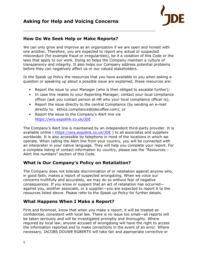

## How Do We Seek Help or Make Reports?

We can only grow and improve as an organization if we are open and honest with one another. Therefore, you are expected to report any actual or suspected misconduct (for example fraud or irregularities), be it a violation of this Code or the laws that apply to our work. Doing so helps the Company maintain a culture of transparency and integrity. It also helps our Company address potential problems before they can negatively affect us or our valued stakeholders.

In the Speak up Policy the resources that you have available to you when asking a question or speaking up about a possible issue are explained, these resources are:

- Report the issue to your Manager (who is then obliged to escalate further);
- In case this relates to your Reporting Manager, contact your local compliance officer (ask you contact person at HR who your local compliance officer is);
- Report the issue directly to the central Compliance (by sending an e-mail directly to: ethics.compliance@jdecoffee.com); or
- Report the issue to the Company's Alert line via https://wrs.expolink.co.uk/JDE

The Company's Alert line is maintained by an independent third-party provider. It is available online ( https://wrs.expolink.co.uk/JDE ) to all associates and suppliers worldwide. It is also accessible by telephone in most of the locations in which we operate. When calling the Alert line from your country, you will be connected with an interpreter in your native language. They will help you complete your report. For a complete listing of contact information by country, please see the "Resources – Alert line numbers" section of this Code.

#### What is Our Company's Policy on Retaliation?

The Company does not tolerate discrimination of or retaliation against anyone who, in good faith, makes a report of suspected wrongdoing. When we voice our concerns truthfully and accurately, we may do so without fear of negative consequences. If you know or suspect that an act of retaliation has occurred against you, another associate, or a supplier—you are expected to report it to the resources listed above. Please refer to the Speak up Policy for further details.

# What Happens When I Make a Report?

First and foremost, know that when you make a report, it will be treated as confidential, consistent with local law. There is no issue too small—all reports will be taken seriously and will be investigated promptly and thoroughly. Where required by local law, anyone accused of wrongdoing will have the right to access the information reported and to make corrections in the event of an error. Where necessary, JACOBS DOUWE EGBERTS will take fair and appropriate corrective or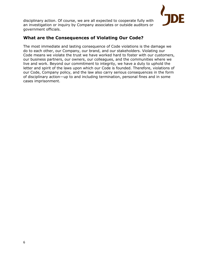

disciplinary action. Of course, we are all expected to cooperate fully with an investigation or inquiry by Company associates or outside auditors or government officials.

# What are the Consequences of Violating Our Code?

The most immediate and lasting consequence of Code violations is the damage we do to each other, our Company, our brand, and our stakeholders. Violating our Code means we violate the trust we have worked hard to foster with our customers, our business partners, our owners, our colleagues, and the communities where we live and work. Beyond our commitment to integrity, we have a duty to uphold the letter and spirit of the laws upon which our Code is founded. Therefore, violations of our Code, Company policy, and the law also carry serious consequences in the form of disciplinary action—up to and including termination, personal fines and in some cases imprisonment.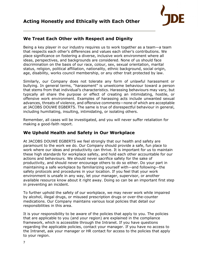

## We Treat Each Other with Respect and Dignity

Being a key player in our industry requires us to work together as a team—a team that respects each other's differences and values each other's contributions. We place significance on fostering a diverse, inclusive work environment where all ideas, perspectives, and backgrounds are considered. None of us should face discrimination on the basis of our race, colour, sex, sexual orientation, marital status, religion, political affiliation, nationality, ethnic background, social origin, age, disability, works council membership, or any other trait protected by law.

Similarly, our Company does not tolerate any form of unlawful harassment or bullying. In general terms, "harassment" is unwelcome behaviour toward a person that stems from that individual's characteristics. Harassing behaviours may vary, but typically all share the purpose or effect of creating an intimidating, hostile, or offensive work environment. Examples of harassing acts include unwanted sexual advances, threats of violence, and offensive comments—none of which are acceptable at JACOBS DOUWE EGBERTS. The same is true of disrespectful behaviour in general, including humiliating, insulting, intimidating, or isolating others.

Remember, all cases will be investigated, and you will never suffer retaliation for making a good-faith report.

#### We Uphold Health and Safety in Our Workplace

At JACOBS DOUWE EGBERTS we feel strongly that our health and safety are paramount to the work we do. Our Company should provide a safe, fun place to work where our ideas and productivity can thrive. It is important for us to maintain these high standards for workplace safety, and hold each other accountable for our actions and behaviours. We should never sacrifice safety for the sake of productivity, and should never encourage others to do so either. Do your part in maintaining a safe workplace by familiarizing yourself with—and following—the safety protocols and procedures in your location. If you feel that your work environment is unsafe in any way, let your manager, supervisor, or another available resource know about it right away. Doing so can be an important first step in preventing an incident.

To further uphold the safety of our workplace, we may never work while impaired by alcohol, illegal drugs, or misused prescription drugs or over-the-counter medications. Our Company maintains various local policies that detail our responsibilities in this area.

It is your responsibility to be aware of the policies that apply to you. The policies that are applicable to you (and your region) are explained in the compliance framework, which is accessible through the Intranet. If you have questions regarding the applicable policies, contact your manager. If you have no access to the Intranet, ask your manager or HR contact for access to the policies that apply to your region.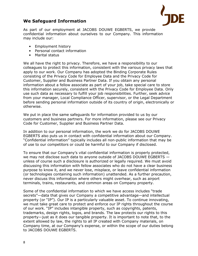#### We Safeguard Information



As part of our employment at JACOBS DOUWE EGBERTS, we provide confidential information about ourselves to our Company. This information may include our:

- Employment history
- Personal contact information
- Marital status

We all have the right to privacy. Therefore, we have a responsibility to our colleagues to protect this information, consistent with the various privacy laws that apply to our work. Our Company has adopted the Binding Corporate Rules consisting of the Privacy Code for Employee Data and the Privacy Code for Customer, Supplier and Business Partner Data. If you obtain any personal information about a fellow associate as part of your job, take special care to store this information securely, consistent with the Privacy Code for Employee Data. Only use such data as necessary to fulfill your job responsibilities. Further, seek advice from your manager, Local Compliance Officer, supervisor, or the Legal Department before sending personal information outside of its country of origin, electronically or otherwise.

We put in place the same safeguards for information provided to us by our customers and business partners. For more information, please see our Privacy Code for Customer, Supplier and Business Partner Data.

In addition to our personal information, the work we do for JACOBS DOUWE EGBERTS also puts us in contact with confidential information about our Company. "Confidential information" typically includes all non-public information that may be of use to our competitors or could be harmful to our Company if disclosed.

To ensure that our Company's vital confidential information is properly protected, we may not disclose such data to anyone outside of JACOBS DOUWE EGBERTS  $$ unless of course such a disclosure is authorized or legally required. We must avoid discussing this information with fellow associates who do not have a clear business purpose to know it, and we never lose, misplace, or leave confidential information (or technologies containing such information) unattended. As a further precaution, never discuss this information where others might overhear, such as airport terminals, trains, restaurants, and common areas on Company property.

Some of the confidential information to which we have access includes "trade secrets"—data that gives our Company a competitive advantage—and intellectual property (or "IP"). Our IP is a particularly valuable asset. To continue innovating, we must take great care to protect and enforce our IP rights throughout the course of our work. "IP" includes intangible property, such as copyrights, patents, trademarks, design rights, logos, and brands. The law protects our rights to this property—just as it does our tangible property. It is important to note that, to the extent allowed by law, the rights to all IP created with Company materials, on Company time, at our Company's expense, or within the scope of our duties belong to JACOBS DOUWE EGBERTS.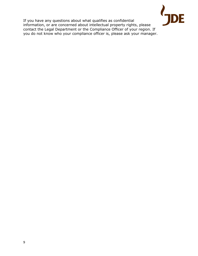

If you have any questions about what qualifies as confidential information, or are concerned about intellectual property rights, please contact the Legal Department or the Compliance Officer of your region. If you do not know who your compliance officer is, please ask your manager.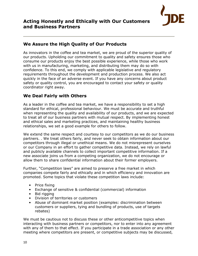

# We Assure the High Quality of Our Products

As innovators in the coffee and tea market, we are proud of the superior quality of our products. Upholding our commitment to quality and safety ensures those who consume our products enjoy the best possible experience, while those who work with us in manufacturing, marketing, and distributing them may do so with confidence. To this end, we comply with applicable legislative and regulatory requirements throughout the development and production process. We also act quickly in the face of an adverse event. If you have any concerns about product safety or quality control, you are encouraged to contact your safety or quality coordinator right away.

# We Deal Fairly with Others

As a leader in the coffee and tea market, we have a responsibility to set a high standard for ethical, professional behaviour. We must be accurate and truthful when representing the quality and availability of our products, and we are expected to treat all of our business partners with mutual respect. By implementing honest and ethical sales and marketing practices, and maintaining healthy business relationships, we set a good example for others to follow.

We extend the same respect and courtesy to our competitors as we do our business partners. . We treat others fairly, and never seek to obtain information about our competitors through illegal or unethical means. We do not misrepresent ourselves or our Company in an effort to gather competitive data. Instead, we rely on lawful and publicly available channels to collect important competitive information. If a new associate joins us from a competing organization, we do not encourage or allow them to share confidential information about their former employers.

Further, "Competition laws" are aimed to preserve a free market in which companies compete fairly and ethically and in which efficiency and innovation are promoted. Some topics that violate these competition laws include:

- Price fixing
- Exchange of sensitive & confidential (commercial) information
- Bid rigging
- Division of territories or customers
- Abuse of dominant market position (examples: discrimination between customers or suppliers, tying and bundling of products, use of targets rebates)

We must be cautious not to discuss these or other anticompetitive topics when interacting with business partners or competitors, nor to enter into any agreement with any of them to that effect. If you participate in a trade association or any other meeting where competitors are present, or competitive subjects may be discussed,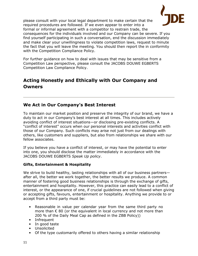

please consult with your local legal department to make certain that the required procedures are followed. If we even appear to enter into a formal or informal agreement with a competitor to restrain trade, the consequences for the individuals involved and our Company can be severe. If you find yourself participating in such a conversation, end the discussion immediately and make clear your unwillingness to violate competition laws, request to minute the fact that you will leave the meeting. You should then report the in conformity with the Competition Compliance Policy.

For further guidance on how to deal with issues that may be sensitive from a Competition Law perspective, please consult the JACOBS DOUWE EGBERTS Competition Law Compliance Policy.

# Acting Honestly and Ethically with Our Company and Owners

#### We Act in Our Company's Best Interest

To maintain our market position and preserve the integrity of our brand, we have a duty to act in our Company's best interest at all times. This includes actively avoiding conflict of interest situations—or disclosing pre-existing conflicts. A "conflict of interest" occurs when our personal interests and activities conflict with those of our Company. Such conflicts may arise not just from our dealings with others, like customers and suppliers, but also from relationships we share with our fellow associates.

If you believe you have a conflict of interest, or may have the potential to enter into one, you should disclose the matter immediately in accordance with the JACOBS DOUWE EGBERTS Speak Up policy.

#### Gifts, Entertainment & Hospitality

We strive to build healthy, lasting relationships with all of our business partnersafter all, the better we work together, the better results we produce. A common manner of fostering good business relationships is through the exchange of gifts, entertainment and hospitality. However, this practice can easily lead to a conflict of interest, or the appearance of one, if crucial guidelines are not followed when giving or accepting gifts, favours, entertainment or hospitality. Anything we provide to or accept from a third party must be:

- Reasonable in value per calendar year from the same third party no more than € 80 (or the equivalent in local currency and not more than 200 % of the Daily Meal Cap as defined in the ZBB Policy))
- Infrequent
- In good taste
- Unsolicited
- Of the type customarily offered to others having a similar relationship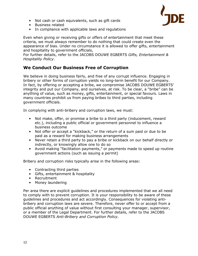

- Not cash or cash equivalents, such as gift cards
- Business related
- In compliance with applicable laws and regulations

Even when giving or receiving gifts or offers of entertainment that meet these criteria, we must always remember to do nothing that could create even the appearance of bias. Under no circumstance it is allowed to offer gifts, entertainment and hospitality to government officials,

For further details, refer to the JACOBS DOUWE EGBERTS Gifts, Entertainment & Hospitality Policy.

#### We Conduct Our Business Free of Corruption

We believe in doing business fairly, and free of any corrupt influence. Engaging in bribery or other forms of corruption yields no long-term benefit for our Company. In fact, by offering or accepting a bribe, we compromise JACOBS DOUWE EGBERTS' integrity and put our Company, and ourselves, at risk. To be clear, a "bribe" can be anything of value, such as money, gifts, entertainment, or special favours. Laws in many countries prohibit us from paying bribes to third parties, including government officials.

In complying with anti-bribery and corruption laws, we must:

- Not make, offer, or promise a bribe to a third party (inducement, reward etc.), including a public official or government personnel to influence a business outcome
- Not offer or accept a "kickback," or the return of a sum paid or due to be paid as a reward for making business arrangements
- Never retain a third party to pay a bribe or kickback on our behalf directly or indirectly, or knowingly allow one to do so
- Avoid making "facilitation payments," or payments made to speed up routine government actions (such as issuing a permit)

Bribery and corruption risks typically arise in the following areas:

- Contracting third parties
- Gifts, entertainment & hospitality
- Recruitment
- Money laundering

Per area there are explicit guidelines and procedures implemented that we all need to comply with to prevent corruption. It is your responsibility to be aware of these guidelines and procedures and act accordingly. Consequences for violating antibribery and corruption laws are severe. Therefore, never offer to or accept from a public official anything of value without first consulting your manager, supervisor, or a member of the Legal Department. For further details, refer to the JACOBS DOUWE EGBERTS Anti-Bribery and Corruption Policy.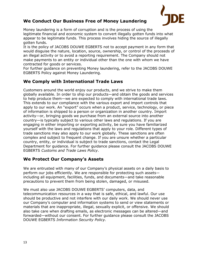

## We Conduct Our Business Free of Money Laundering

Money laundering is a form of corruption and is the process of using the legitimate financial and economic system to convert illegally gotten funds into what appear to be legitimate funds. This process involves hiding the source of illegally gotten funds.

It is the policy of JACOBS DOUWE EGBERTS not to accept payment in any form that would disguise the nature, location, source, ownership, or control of the proceeds of an illegal activity or to avoid a reporting requirement. The Company should not make payments to an entity or individual other than the one with whom we have contracted for goods or services.

For further guidance on preventing Money laundering, refer to the JACOBS DOUWE EGBERTS Policy against Money Laundering.

## We Comply with International Trade Laws

Customers around the world enjoy our products, and we strive to make them globally available. In order to ship our products—and obtain the goods and services to help produce them—we are expected to comply with international trade laws. This extends to our compliance with the various export and import controls that apply to our work. An "export" occurs when a product, service, technology, or piece of information is shipped to a person or organization in another country. Import activity—or, bringing goods we purchase from an external source into another country—is typically subject to various other laws and regulations. If you are engaging in either importing or exporting activity, be sure you have familiarized yourself with the laws and regulations that apply to your role. Different types of trade sanctions may also apply to our work globally. These sanctions are often complex and subject to frequent change. If you are unsure whether a particular country, entity, or individual is subject to trade sanctions, contact the Legal Department for guidance. For further guidance please consult the JACOBS DOUWE EGBERTS Customs and Trade Laws Policy.

#### We Protect Our Company's Assets

We are entrusted with many of our Company's physical assets on a daily basis to perform our jobs efficiently. We are responsible for protecting such assets including all equipment, facilities, funds, and documents—and take reasonable precautions to prevent them from being stolen, damaged, or misused.

We must also use JACOBS DOUWE EGBERTS' computers, data, and telecommunication resources in a way that is safe, ethical, and lawful. Our use should be productive and not interfere with our daily work. We should never use our Company's computer and information systems to send or view statements or materials that are inappropriate, illegal, sexually explicit, or offensive. We should also take care when drafting emails, as electronic messages can be altered—and forwarded—without our consent. For further guidance please consult the JACOBS DOUWE EGBERTS Information Security Policy.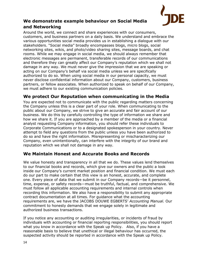

# We demonstrate example behaviour on Social Media and Networking

Around the world, we connect and share experiences with our consumers, customers, and business partners on a daily basis. We understand and embrace the various opportunities social media provides us in establishing a dialogue with our stakeholders. "Social media" broadly encompasses blogs, micro blogs, social networking sites, wikis, and photo/video sharing sites, message boards, and chat rooms. While we may engage in social media, we should always remember that electronic messages are permanent, transferable records of our communications and therefore they can greatly affect our Company's reputation which we shall not damage in any way. We must never give the impression that we are speaking or acting on our Company's behalf via social media unless we are specifically authorized to do so. When using social media in our personal capacity, we must never disclose confidential information about our Company, customers, business partners, or fellow associates. When authorized to speak on behalf of our Company, we must adhere to our existing communication policies.

#### We protect Our Reputation when communicating in the Media

You are expected not to communicate with the public regarding matters concerning the Company unless this is a clear part of your role. When communicating to the public about our Company, we strive to give an accurate and fair account of our business. We do this by carefully controlling the type of information we share and how we share it. If you are approached by a member of the media or a financial analyst requesting Company information, you should refer these individuals to Corporate Communications or to a designated spokesperson in your country. Never attempt to field any questions from the public unless you have been authorized to do so and have the right information. Misrepresenting or mischaracterizing our Company, even unintentionally, can interfere with the integrity of our brand and reputation which we shall not damage in any way.

#### We Maintain Honest and Accurate Books and Records

We value honesty and transparency in all that we do. These values lend themselves to our financial books and records, which give our owners and the public a look inside our Company's current market position and financial condition. We must each do our part to make certain that this view is an honest, accurate, and complete one. Every piece of data that we submit in our Company records—be it personnel, time, expense, or safety records—must be truthful, factual, and comprehensive. We must follow all applicable accounting requirements and internal controls when recording this information. We also have a responsibility to submit any appropriate contract documentation at all times. For guidance what the accounting requirements are, we have the JACOBS DOUWE EGBERTS' Accounting Manual. Our commitment to honesty demands that we engage solely in legitimate and authorized business transactions.

If you notice any accounting or auditing irregularities, or incidents of fraud by individuals with accounting or financial reporting responsibilities, you should report what you know in accordance with the Speak up Policy. Also, if you have a reasonable basis to believe that unethical or illegal behaviour has occurred, the suspected activity should be reported in accordance with the Speak up Policy.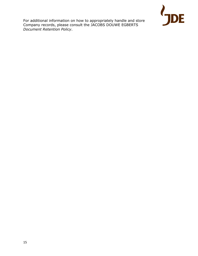

For additional information on how to appropriately handle and store Company records, please consult the JACOBS DOUWE EGBERTS Document Retention Policy.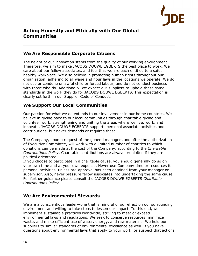

# Acting Honestly and Ethically with Our Global Communities

#### We Are Responsible Corporate Citizens

The height of our innovation stems from the quality of our working environment. Therefore, we aim to make JACOBS DOUWE EGBERTS the best place to work. We care about our fellow associates, and feel that we are each entitled to a safe, healthy workplace. We also believe in promoting human rights throughout our organization, adhering to all wage and hour laws in the locations we operate. We do not use or condone unlawful child or forced labour, and do not conduct business with those who do. Additionally, we expect our suppliers to uphold these same standards in the work they do for JACOBS DOUWE EGBERTS. This expectation is clearly set forth in our Supplier Code of Conduct.

#### We Support Our Local Communities

Our passion for what we do extends to our involvement in our home countries. We believe in giving back to our local communities through charitable giving and volunteer work, strengthening and uniting the areas where we live, work, and innovate. JACOBS DOUWE EGBERTS supports personal associate activities and contributions, but never demands or requires these.

The Company, upon a request of the general managers and after the authorization of Executive Committee, will work with a limited number of charities to which donations can be made at the cost of the Company, according to the Charitable Contributions Policy. Charitable contributions are always prohibited if they are political orientated.

If you choose to participate in a charitable cause, you should generally do so on your own time and at your own expense. Never use Company time or resources for personal activities, unless pre-approval has been obtained from your manager or supervisor. Also, never pressure fellow associates into undertaking the same cause. For further guidance please consult the JACOBS DOUWE EGBERTS Charitable Contributions Policy.

#### We Are Environmental Stewards

We are a conscientious leader-one that is mindful of our effect on our surrounding environment and willing to take steps to lessen our impact. To this end, we implement sustainable practices worldwide, striving to meet or exceed environmental laws and regulations. We seek to conserve resources, minimize waste, and make efficient use of water, energy, and raw materials. We hold our suppliers to similar standards of environmental excellence as well. If you have questions about environmental laws that apply to your work, or suspect that actions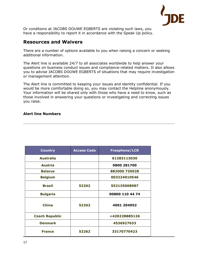

Or conditions at JACOBS DOUWE EGBERTS are violating such laws, you have a responsibility to report it in accordance with the Speak Up policy.

# Resources and Waivers

There are a number of options available to you when raising a concern or seeking additional information.

The Alert line is available 24/7 to all associates worldwide to help answer your questions on business conduct issues and compliance-related matters. It also allows you to advise JACOBS DOUWE EGBERTS of situations that may require investigation or management attention.

The Alert line is committed to keeping your issues and identity confidential. If you would be more comfortable doing so, you may contact the Helpline anonymously. Your information will be shared only with those who have a need to know, such as those involved in answering your questions or investigating and correcting issues you raise.

#### Alert line Numbers

| <b>Country</b>        | <b>Access Code</b> | <b>Freephone/LCR</b> |
|-----------------------|--------------------|----------------------|
| <b>Australia</b>      |                    | 61283113030          |
| <b>Austria</b>        |                    | 0800 281700          |
| <b>Belarus</b>        |                    | 882000 730028        |
| <b>Belgium</b>        |                    | 003224010546         |
| <b>Brazil</b>         | 52262              | 552135008987         |
| <b>Bulgaria</b>       |                    | 00800 110 44 74      |
| China                 | 52262              | 4001 204952          |
| <b>Czech Republic</b> |                    | +420228885126        |
| <b>Denmark</b>        |                    | 4536927633           |
| <b>France</b>         | 52262              | 33170770423          |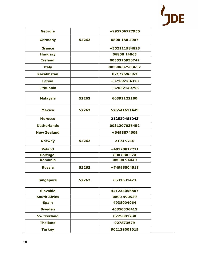

| Georgia             |       | +995706777955  |  |
|---------------------|-------|----------------|--|
| <b>Germany</b>      | 52262 | 0800 180 4007  |  |
| <b>Greece</b>       |       | +302111984823  |  |
| <b>Hungary</b>      |       | 06800 14863    |  |
| <b>Ireland</b>      |       | 0035316950742  |  |
| <b>Italy</b>        |       | 00390687503657 |  |
| <b>Kazakhstan</b>   |       | 87172696063    |  |
| Latvia              |       | +37166164320   |  |
| <b>Lithuania</b>    |       | +37052140795   |  |
| <b>Malaysia</b>     | 52262 | 60392122180    |  |
| <b>Mexico</b>       | 52262 | 525541611449   |  |
| <b>Morocco</b>      |       | 212520485043   |  |
| <b>Netherlands</b>  |       | 0031207036452  |  |
| <b>New Zealand</b>  |       | +6498874609    |  |
| <b>Norway</b>       | 52262 | 2193 9710      |  |
| <b>Poland</b>       |       | +48128812711   |  |
| <b>Portugal</b>     |       | 800 880 374    |  |
| <b>Romania</b>      |       | 08008 94440    |  |
| <b>Russia</b>       | 52262 | +74993504513   |  |
| <b>Singapore</b>    | 52262 | 6531631423     |  |
| <b>Slovakia</b>     |       | 421233056807   |  |
| <b>South Africa</b> |       | 0800 990520    |  |
| <b>Spain</b>        |       | 4938004964     |  |
| <b>Sweden</b>       |       | 46850336415    |  |
| <b>Switzerland</b>  |       | 0225801730     |  |
| <b>Thailand</b>     |       | 027873679      |  |
| <b>Turkey</b>       |       | 902129001615   |  |